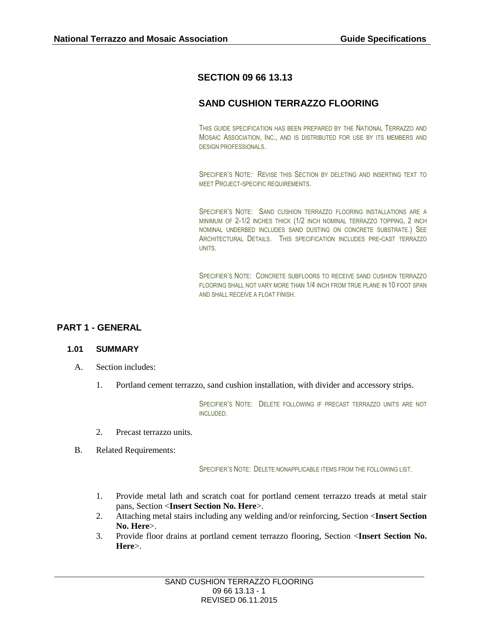# **SECTION 09 66 13.13**

# **SAND CUSHION TERRAZZO FLOORING**

THIS GUIDE SPECIFICATION HAS BEEN PREPARED BY THE NATIONAL TERRAZZO AND MOSAIC ASSOCIATION, INC., AND IS DISTRIBUTED FOR USE BY ITS MEMBERS AND DESIGN PROFESSIONALS.

SPECIFIER'S NOTE: REVISE THIS SECTION BY DELETING AND INSERTING TEXT TO MEET PROJECT-SPECIFIC REQUIREMENTS.

SPECIFIER'S NOTE: SAND CUSHION TERRAZZO FLOORING INSTALLATIONS ARE A MINIMUM OF 2-1/2 INCHES THICK (1/2 INCH NOMINAL TERRAZZO TOPPING, 2 INCH NOMINAL UNDERBED INCLUDES SAND DUSTING ON CONCRETE SUBSTRATE.) SEE ARCHITECTURAL DETAILS. THIS SPECIFICATION INCLUDES PRE-CAST TERRAZZO UNITS.

SPECIFIER'S NOTE: CONCRETE SUBFLOORS TO RECEIVE SAND CUSHION TERRAZZO FLOORING SHALL NOT VARY MORE THAN 1/4 INCH FROM TRUE PLANE IN 10 FOOT SPAN AND SHALL RECEIVE A FLOAT FINISH.

## **PART 1 - GENERAL**

### **1.01 SUMMARY**

- A. Section includes:
	- 1. Portland cement terrazzo, sand cushion installation, with divider and accessory strips.

SPECIFIER'S NOTE: DELETE FOLLOWING IF PRECAST TERRAZZO UNITS ARE NOT INCLUDED.

- 2. Precast terrazzo units.
- B. Related Requirements:

SPECIFIER'S NOTE: DELETE NONAPPLICABLE ITEMS FROM THE FOLLOWING LIST.

- 1. Provide metal lath and scratch coat for portland cement terrazzo treads at metal stair pans, Section <**Insert Section No. Here**>.
- 2. Attaching metal stairs including any welding and/or reinforcing, Section <**Insert Section No. Here**>.
- 3. Provide floor drains at portland cement terrazzo flooring, Section <**Insert Section No. Here**>.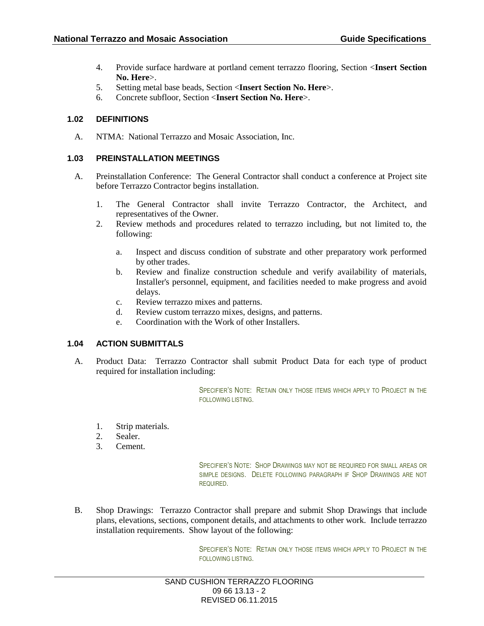- 4. Provide surface hardware at portland cement terrazzo flooring, Section <**Insert Section No. Here**>.
- 5. Setting metal base beads, Section <**Insert Section No. Here**>.
- 6. Concrete subfloor, Section <**Insert Section No. Here**>.

## **1.02 DEFINITIONS**

A. NTMA: National Terrazzo and Mosaic Association, Inc.

#### **1.03 PREINSTALLATION MEETINGS**

- A. Preinstallation Conference: The General Contractor shall conduct a conference at Project site before Terrazzo Contractor begins installation.
	- 1. The General Contractor shall invite Terrazzo Contractor, the Architect, and representatives of the Owner.
	- 2. Review methods and procedures related to terrazzo including, but not limited to, the following:
		- a. Inspect and discuss condition of substrate and other preparatory work performed by other trades.
		- b. Review and finalize construction schedule and verify availability of materials, Installer's personnel, equipment, and facilities needed to make progress and avoid delays.
		- c. Review terrazzo mixes and patterns.
		- d. Review custom terrazzo mixes, designs, and patterns.
		- e. Coordination with the Work of other Installers.

### **1.04 ACTION SUBMITTALS**

A. Product Data: Terrazzo Contractor shall submit Product Data for each type of product required for installation including:

> SPECIFIER'S NOTE: RETAIN ONLY THOSE ITEMS WHICH APPLY TO PROJECT IN THE FOLLOWING LISTING.

- 1. Strip materials.
- 2. Sealer.
- 3. Cement.

SPECIFIER'S NOTE: SHOP DRAWINGS MAY NOT BE REQUIRED FOR SMALL AREAS OR SIMPLE DESIGNS. DELETE FOLLOWING PARAGRAPH IF SHOP DRAWINGS ARE NOT REQUIRED.

B. Shop Drawings: Terrazzo Contractor shall prepare and submit Shop Drawings that include plans, elevations, sections, component details, and attachments to other work. Include terrazzo installation requirements. Show layout of the following:

> SPECIFIER'S NOTE: RETAIN ONLY THOSE ITEMS WHICH APPLY TO PROJECT IN THE FOLLOWING LISTING.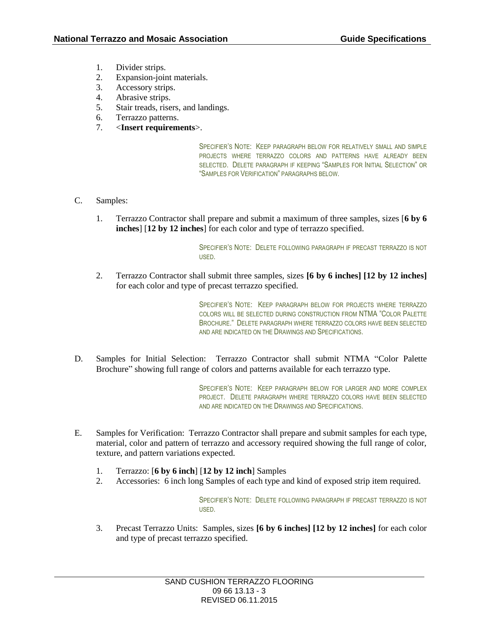- 1. Divider strips.
- 2. Expansion-joint materials.
- 3. Accessory strips.
- 4. Abrasive strips.
- 5. Stair treads, risers, and landings.
- 6. Terrazzo patterns.
- 7. <**Insert requirements**>.

SPECIFIER'S NOTE: KEEP PARAGRAPH BELOW FOR RELATIVELY SMALL AND SIMPLE PROJECTS WHERE TERRAZZO COLORS AND PATTERNS HAVE ALREADY BEEN SELECTED. DELETE PARAGRAPH IF KEEPING "SAMPLES FOR INITIAL SELECTION" OR "SAMPLES FOR VERIFICATION" PARAGRAPHS BELOW.

- C. Samples:
	- 1. Terrazzo Contractor shall prepare and submit a maximum of three samples, sizes [**6 by 6 inches**] [**12 by 12 inches**] for each color and type of terrazzo specified.

SPECIFIER'S NOTE: DELETE FOLLOWING PARAGRAPH IF PRECAST TERRAZZO IS NOT USED.

2. Terrazzo Contractor shall submit three samples, sizes **[6 by 6 inches] [12 by 12 inches]** for each color and type of precast terrazzo specified.

> SPECIFIER'S NOTE: KEEP PARAGRAPH BELOW FOR PROJECTS WHERE TERRAZZO COLORS WILL BE SELECTED DURING CONSTRUCTION FROM NTMA "COLOR PALETTE BROCHURE." DELETE PARAGRAPH WHERE TERRAZZO COLORS HAVE BEEN SELECTED AND ARE INDICATED ON THE DRAWINGS AND SPECIFICATIONS.

D. Samples for Initial Selection: Terrazzo Contractor shall submit NTMA "Color Palette Brochure" showing full range of colors and patterns available for each terrazzo type.

> SPECIFIER'S NOTE: KEEP PARAGRAPH BELOW FOR LARGER AND MORE COMPLEX PROJECT. DELETE PARAGRAPH WHERE TERRAZZO COLORS HAVE BEEN SELECTED AND ARE INDICATED ON THE DRAWINGS AND SPECIFICATIONS.

- E. Samples for Verification: Terrazzo Contractor shall prepare and submit samples for each type, material, color and pattern of terrazzo and accessory required showing the full range of color, texture, and pattern variations expected.
	- 1. Terrazzo: [**6 by 6 inch**] [**12 by 12 inch**] Samples
	- 2. Accessories: 6 inch long Samples of each type and kind of exposed strip item required.

SPECIFIER'S NOTE: DELETE FOLLOWING PARAGRAPH IF PRECAST TERRAZZO IS NOT USED.

3. Precast Terrazzo Units: Samples, sizes **[6 by 6 inches] [12 by 12 inches]** for each color and type of precast terrazzo specified.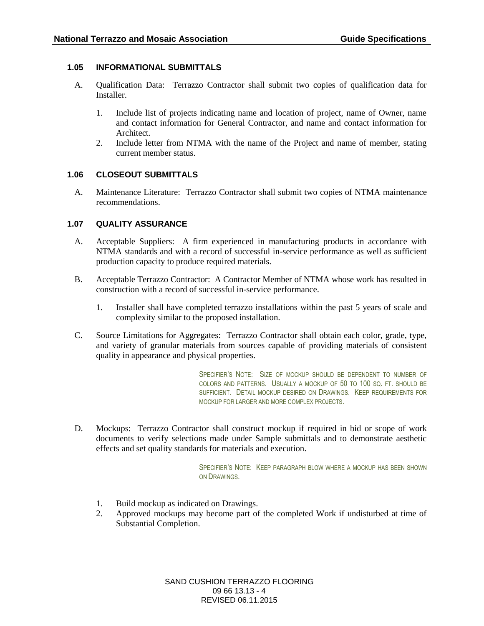## **1.05 INFORMATIONAL SUBMITTALS**

- A. Qualification Data: Terrazzo Contractor shall submit two copies of qualification data for Installer.
	- 1. Include list of projects indicating name and location of project, name of Owner, name and contact information for General Contractor, and name and contact information for Architect.
	- 2. Include letter from NTMA with the name of the Project and name of member, stating current member status.

## **1.06 CLOSEOUT SUBMITTALS**

A. Maintenance Literature: Terrazzo Contractor shall submit two copies of NTMA maintenance recommendations.

## **1.07 QUALITY ASSURANCE**

- A. Acceptable Suppliers: A firm experienced in manufacturing products in accordance with NTMA standards and with a record of successful in-service performance as well as sufficient production capacity to produce required materials.
- B. Acceptable Terrazzo Contractor: A Contractor Member of NTMA whose work has resulted in construction with a record of successful in-service performance.
	- 1. Installer shall have completed terrazzo installations within the past 5 years of scale and complexity similar to the proposed installation.
- C. Source Limitations for Aggregates: Terrazzo Contractor shall obtain each color, grade, type, and variety of granular materials from sources capable of providing materials of consistent quality in appearance and physical properties.

SPECIFIER'S NOTE: SIZE OF MOCKUP SHOULD BE DEPENDENT TO NUMBER OF COLORS AND PATTERNS. USUALLY A MOCKUP OF 50 TO 100 SQ. FT. SHOULD BE SUFFICIENT. DETAIL MOCKUP DESIRED ON DRAWINGS. KEEP REQUIREMENTS FOR MOCKUP FOR LARGER AND MORE COMPLEX PROJECTS.

D. Mockups: Terrazzo Contractor shall construct mockup if required in bid or scope of work documents to verify selections made under Sample submittals and to demonstrate aesthetic effects and set quality standards for materials and execution.

> SPECIFIER'S NOTE: KEEP PARAGRAPH BLOW WHERE A MOCKUP HAS BEEN SHOWN ON DRAWINGS.

- 1. Build mockup as indicated on Drawings.
- 2. Approved mockups may become part of the completed Work if undisturbed at time of Substantial Completion.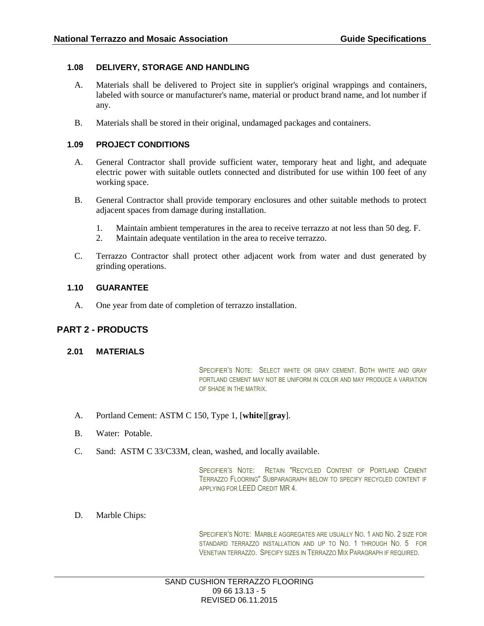## **1.08 DELIVERY, STORAGE AND HANDLING**

- A. Materials shall be delivered to Project site in supplier's original wrappings and containers, labeled with source or manufacturer's name, material or product brand name, and lot number if any.
- B. Materials shall be stored in their original, undamaged packages and containers.

#### **1.09 PROJECT CONDITIONS**

- A. General Contractor shall provide sufficient water, temporary heat and light, and adequate electric power with suitable outlets connected and distributed for use within 100 feet of any working space.
- B. General Contractor shall provide temporary enclosures and other suitable methods to protect adjacent spaces from damage during installation.
	- 1. Maintain ambient temperatures in the area to receive terrazzo at not less than 50 deg. F.
	- 2. Maintain adequate ventilation in the area to receive terrazzo.
- C. Terrazzo Contractor shall protect other adjacent work from water and dust generated by grinding operations.

#### **1.10 GUARANTEE**

A. One year from date of completion of terrazzo installation.

# **PART 2 - PRODUCTS**

#### **2.01 MATERIALS**

SPECIFIER'S NOTE: SELECT WHITE OR GRAY CEMENT. BOTH WHITE AND GRAY PORTLAND CEMENT MAY NOT BE UNIFORM IN COLOR AND MAY PRODUCE A VARIATION OF SHADE IN THE MATRIX.

- A. Portland Cement: ASTM C 150, Type 1, [**white**][**gray**].
- B. Water: Potable.
- C. Sand: ASTM C 33/C33M, clean, washed, and locally available.

SPECIFIER'S NOTE: RETAIN "RECYCLED CONTENT OF PORTLAND CEMENT TERRAZZO FLOORING" SUBPARAGRAPH BELOW TO SPECIFY RECYCLED CONTENT IF APPLYING FOR LEED CREDIT MR 4.

D. Marble Chips:

SPECIFIER'S NOTE: MARBLE AGGREGATES ARE USUALLY NO. 1 AND NO. 2 SIZE FOR STANDARD TERRAZZO INSTALLATION AND UP TO NO. 1 THROUGH NO. 5 FOR VENETIAN TERRAZZO. SPECIFY SIZES IN TERRAZZO MIX PARAGRAPH IF REQUIRED.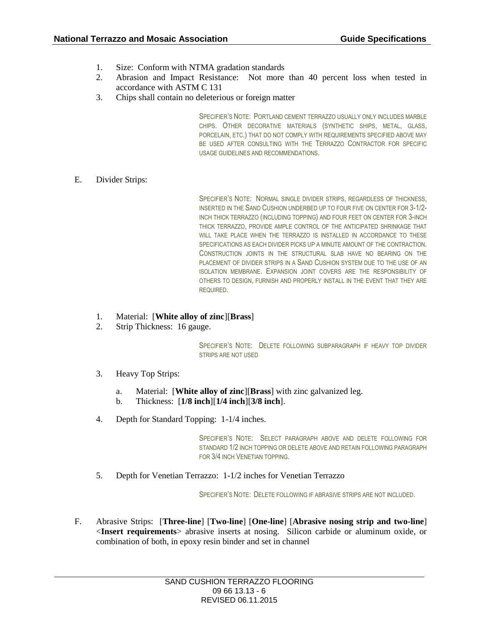- 1. Size: Conform with NTMA gradation standards
- 2. Abrasion and Impact Resistance: Not more than 40 percent loss when tested in accordance with ASTM C 131
- 3. Chips shall contain no deleterious or foreign matter

SPECIFIER'S NOTE: PORTLAND CEMENT TERRAZZO USUALLY ONLY INCLUDES MARBLE CHIPS. OTHER DECORATIVE MATERIALS (SYNTHETIC SHIPS, METAL, GLASS, PORCELAIN, ETC.) THAT DO NOT COMPLY WITH REQUIREMENTS SPECIFIED ABOVE MAY BE USED AFTER CONSULTING WITH THE TERRAZZO CONTRACTOR FOR SPECIFIC USAGE GUIDELINES AND RECOMMENDATIONS.

E. Divider Strips:

SPECIFIER'S NOTE: NORMAL SINGLE DIVIDER STRIPS, REGARDLESS OF THICKNESS, INSERTED IN THE SAND CUSHION UNDERBED UP TO FOUR FIVE ON CENTER FOR 3-1/2- INCH THICK TERRAZZO (INCLUDING TOPPING) AND FOUR FEET ON CENTER FOR 3-INCH THICK TERRAZZO, PROVIDE AMPLE CONTROL OF THE ANTICIPATED SHRINKAGE THAT WILL TAKE PLACE WHEN THE TERRAZZO IS INSTALLED IN ACCORDANCE TO THESE SPECIFICATIONS AS EACH DIVIDER PICKS UP A MINUTE AMOUNT OF THE CONTRACTION. CONSTRUCTION JOINTS IN THE STRUCTURAL SLAB HAVE NO BEARING ON THE PLACEMENT OF DIVIDER STRIPS IN A SAND CUSHION SYSTEM DUE TO THE USE OF AN ISOLATION MEMBRANE. EXPANSION JOINT COVERS ARE THE RESPONSIBILITY OF OTHERS TO DESIGN, FURNISH AND PROPERLY INSTALL IN THE EVENT THAT THEY ARE REQUIRED.

- 1. Material: [**White alloy of zinc**][**Brass**]
- 2. Strip Thickness: 16 gauge.

SPECIFIER'S NOTE: DELETE FOLLOWING SUBPARAGRAPH IF HEAVY TOP DIVIDER STRIPS ARE NOT USED

- 3. Heavy Top Strips:
	- a. Material: [**White alloy of zinc**][**Brass**] with zinc galvanized leg.
	- b. Thickness: [**1/8 inch**][**1/4 inch**][**3/8 inch**].
- 4. Depth for Standard Topping: 1-1/4 inches.

SPECIFIER'S NOTE: SELECT PARAGRAPH ABOVE AND DELETE FOLLOWING FOR STANDARD 1/2 INCH TOPPING OR DELETE ABOVE AND RETAIN FOLLOWING PARAGRAPH FOR 3/4 INCH VENETIAN TOPPING.

5. Depth for Venetian Terrazzo: 1-1/2 inches for Venetian Terrazzo

SPECIFIER'S NOTE: DELETE FOLLOWING IF ABRASIVE STRIPS ARE NOT INCLUDED.

F. Abrasive Strips: [**Three-line**] [**Two-line**] [**One-line**] [**Abrasive nosing strip and two-line**] <**Insert requirements**> abrasive inserts at nosing. Silicon carbide or aluminum oxide, or combination of both, in epoxy resin binder and set in channel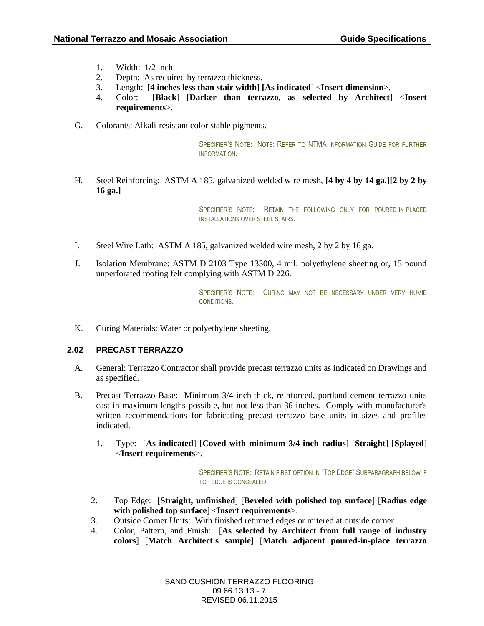- 1. Width: 1/2 inch.
- 2. Depth: As required by terrazzo thickness.
- 3. Length: **[4 inches less than stair width] [As indicated**] <**Insert dimension**>.
- 4. Color: [**Black**] [**Darker than terrazzo, as selected by Architect**] <**Insert requirements**>.
- G. Colorants: Alkali-resistant color stable pigments.

SPECIFIER'S NOTE: NOTE: REFER TO NTMA INFORMATION GUIDE FOR FURTHER INFORMATION.

H. Steel Reinforcing: ASTM A 185, galvanized welded wire mesh, **[4 by 4 by 14 ga.][2 by 2 by 16 ga.]**

> SPECIFIER'S NOTE: RETAIN THE FOLLOWING ONLY FOR POURED-IN-PLACED INSTALLATIONS OVER STEEL STAIRS.

- I. Steel Wire Lath: ASTM A 185, galvanized welded wire mesh, 2 by 2 by 16 ga.
- J. Isolation Membrane: ASTM D 2103 Type 13300, 4 mil. polyethylene sheeting or, 15 pound unperforated roofing felt complying with ASTM D 226.

SPECIFIER'S NOTE: CURING MAY NOT BE NECESSARY UNDER VERY HUMID CONDITIONS.

K. Curing Materials: Water or polyethylene sheeting.

#### **2.02 PRECAST TERRAZZO**

- A. General: Terrazzo Contractor shall provide precast terrazzo units as indicated on Drawings and as specified.
- B. Precast Terrazzo Base: Minimum 3/4-inch-thick, reinforced, portland cement terrazzo units cast in maximum lengths possible, but not less than 36 inches. Comply with manufacturer's written recommendations for fabricating precast terrazzo base units in sizes and profiles indicated.
	- 1. Type: [**As indicated**] [**Coved with minimum 3/4-inch radius**] [**Straight**] [**Splayed**] <**Insert requirements**>.

SPECIFIER'S NOTE: RETAIN FIRST OPTION IN "TOP EDGE" SUBPARAGRAPH BELOW IF TOP EDGE IS CONCEALED.

- 2. Top Edge: [**Straight, unfinished**] [**Beveled with polished top surface**] [**Radius edge with polished top surface**] <**Insert requirements**>.
- 3. Outside Corner Units: With finished returned edges or mitered at outside corner.
- 4. Color, Pattern, and Finish: [**As selected by Architect from full range of industry colors**] [**Match Architect's sample**] [**Match adjacent poured-in-place terrazzo**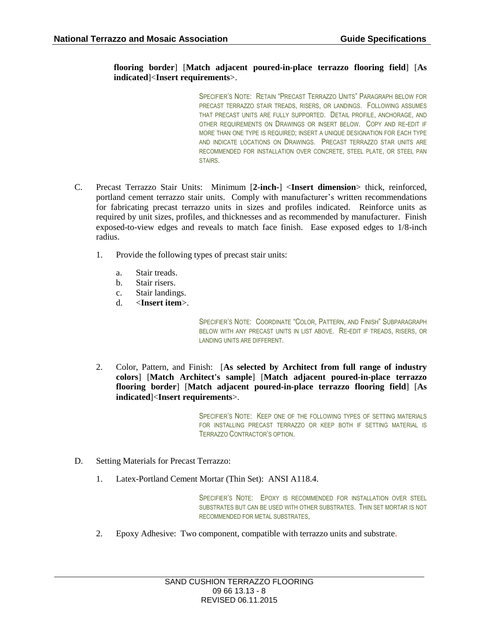### **flooring border**] [**Match adjacent poured-in-place terrazzo flooring field**] [**As indicated**]<**Insert requirements**>.

SPECIFIER'S NOTE: RETAIN "PRECAST TERRAZZO UNITS" PARAGRAPH BELOW FOR PRECAST TERRAZZO STAIR TREADS, RISERS, OR LANDINGS. FOLLOWING ASSUMES THAT PRECAST UNITS ARE FULLY SUPPORTED. DETAIL PROFILE, ANCHORAGE, AND OTHER REQUIREMENTS ON DRAWINGS OR INSERT BELOW. COPY AND RE-EDIT IF MORE THAN ONE TYPE IS REQUIRED; INSERT A UNIQUE DESIGNATION FOR EACH TYPE AND INDICATE LOCATIONS ON DRAWINGS. PRECAST TERRAZZO STAR UNITS ARE RECOMMENDED FOR INSTALLATION OVER CONCRETE, STEEL PLATE, OR STEEL PAN STAIRS.

- C. Precast Terrazzo Stair Units: Minimum [**2-inch-**] <**Insert dimension**> thick, reinforced, portland cement terrazzo stair units. Comply with manufacturer's written recommendations for fabricating precast terrazzo units in sizes and profiles indicated. Reinforce units as required by unit sizes, profiles, and thicknesses and as recommended by manufacturer. Finish exposed-to-view edges and reveals to match face finish. Ease exposed edges to 1/8-inch radius.
	- 1. Provide the following types of precast stair units:
		- a. Stair treads.
		- b. Stair risers.
		- c. Stair landings.
		- d. <**Insert item**>.

SPECIFIER'S NOTE: COORDINATE "COLOR, PATTERN, AND FINISH" SUBPARAGRAPH BELOW WITH ANY PRECAST UNITS IN LIST ABOVE. RE-EDIT IF TREADS, RISERS, OR LANDING UNITS ARE DIFFERENT.

2. Color, Pattern, and Finish: [**As selected by Architect from full range of industry colors**] [**Match Architect's sample**] [**Match adjacent poured-in-place terrazzo flooring border**] [**Match adjacent poured-in-place terrazzo flooring field**] [**As indicated**]<**Insert requirements**>.

> SPECIFIER'S NOTE: KEEP ONE OF THE FOLLOWING TYPES OF SETTING MATERIALS FOR INSTALLING PRECAST TERRAZZO OR KEEP BOTH IF SETTING MATERIAL IS TERRAZZO CONTRACTOR'S OPTION.

- D. Setting Materials for Precast Terrazzo:
	- 1. Latex-Portland Cement Mortar (Thin Set): ANSI A118.4.

SPECIFIER'S NOTE: EPOXY IS RECOMMENDED FOR INSTALLATION OVER STEEL SUBSTRATES BUT CAN BE USED WITH OTHER SUBSTRATES. THIN SET MORTAR IS NOT RECOMMENDED FOR METAL SUBSTRATES,

2. Epoxy Adhesive: Two component, compatible with terrazzo units and substrate.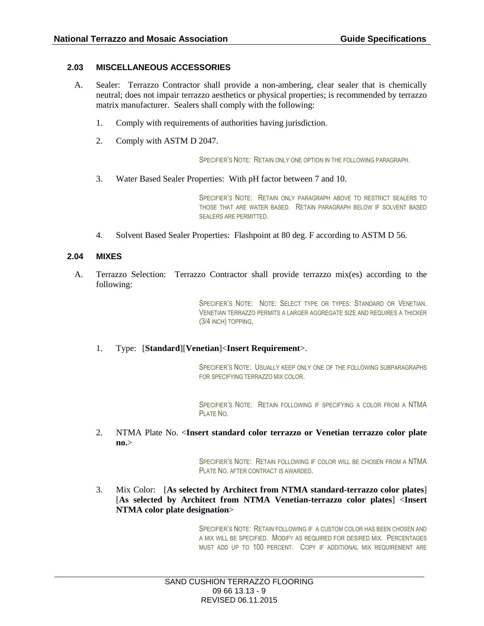### **2.03 MISCELLANEOUS ACCESSORIES**

- A. Sealer: Terrazzo Contractor shall provide a non-ambering, clear sealer that is chemically neutral; does not impair terrazzo aesthetics or physical properties; is recommended by terrazzo matrix manufacturer. Sealers shall comply with the following:
	- 1. Comply with requirements of authorities having jurisdiction.
	- 2. Comply with ASTM D 2047.

SPECIFIER'S NOTE: RETAIN ONLY ONE OPTION IN THE FOLLOWING PARAGRAPH.

3. Water Based Sealer Properties: With pH factor between 7 and 10.

SPECIFIER'S NOTE: RETAIN ONLY PARAGRAPH ABOVE TO RESTRICT SEALERS TO THOSE THAT ARE WATER BASED. RETAIN PARAGRAPH BELOW IF SOLVENT BASED SEALERS ARE PERMITTED.

4. Solvent Based Sealer Properties: Flashpoint at 80 deg. F according to ASTM D 56.

#### **2.04 MIXES**

A. Terrazzo Selection: Terrazzo Contractor shall provide terrazzo mix(es) according to the following:

> SPECIFIER'S NOTE: NOTE: SELECT TYPE OR TYPES: STANDARD OR VENETIAN VENETIAN TERRAZZO PERMITS A LARGER AGGREGATE SIZE AND REQUIRES A THICKER (3/4 INCH) TOPPING,

1. Type: [**Standard**][**Venetian**]<**Insert Requirement**>.

SPECIFIER'S NOTE: USUALLY KEEP ONLY ONE OF THE FOLLOWING SUBPARAGRAPHS FOR SPECIFYING TERRAZZO MIX COLOR.

SPECIFIER'S NOTE: RETAIN FOLLOWING IF SPECIFYING A COLOR FROM A NTMA PLATE NO.

2. NTMA Plate No. <**Insert standard color terrazzo or Venetian terrazzo color plate no.**>

> SPECIFIER'S NOTE: RETAIN FOLLOWING IF COLOR WILL BE CHOSEN FROM A NTMA PLATE NO. AFTER CONTRACT IS AWARDED.

3. Mix Color: [**As selected by Architect from NTMA standard-terrazzo color plates**] [**As selected by Architect from NTMA Venetian-terrazzo color plates**] <**Insert NTMA color plate designation**>

> SPECIFIER'S NOTE: RETAIN FOLLOWING IF A CUSTOM COLOR HAS BEEN CHOSEN AND A MIX WILL BE SPECIFIED. MODIFY AS REQUIRED FOR DESIRED MIX. PERCENTAGES MUST ADD UP TO 100 PERCENT. COPY IF ADDITIONAL MIX REQUIREMENT ARE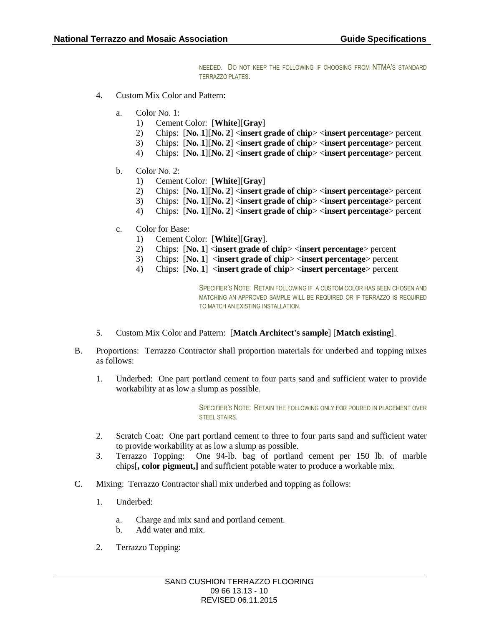NEEDED. DO NOT KEEP THE FOLLOWING IF CHOOSING FROM NTMA'S STANDARD TERRAZZO PI ATES.

- 4. Custom Mix Color and Pattern:
	- a. Color No. 1:
		- 1) Cement Color: [**White**][**Gray**]
		- 2) Chips: [**No. 1**][**No. 2**] <**insert grade of chip**> <**insert percentage**> percent
		- 3) Chips: [**No. 1**][**No. 2**] <**insert grade of chip**> <**insert percentage**> percent
		- 4) Chips: [**No. 1**][**No. 2**] <**insert grade of chip**> <**insert percentage**> percent
	- b. Color No. 2:
		- 1) Cement Color: [**White**][**Gray**]
		- 2) Chips: [**No. 1**][**No. 2**] <**insert grade of chip**> <**insert percentage**> percent
		- 3) Chips: [**No. 1**][**No. 2**] <**insert grade of chip**> <**insert percentage**> percent
		- 4) Chips: [**No. 1**][**No. 2**] <**insert grade of chip**> <**insert percentage**> percent
	- c. Color for Base:
		- 1) Cement Color: [**White**][**Gray**].
		- 2) Chips: [**No. 1**] <**insert grade of chip**> <**insert percentage**> percent
		- 3) Chips: [**No. 1**] <**insert grade of chip**> <**insert percentage**> percent
		- 4) Chips: [**No. 1**] <**insert grade of chip**> <**insert percentage**> percent

SPECIFIER'S NOTE: RETAIN FOLLOWING IF A CUSTOM COLOR HAS BEEN CHOSEN AND MATCHING AN APPROVED SAMPLE WILL BE REQUIRED OR IF TERRAZZO IS REQUIRED TO MATCH AN EXISTING INSTALLATION.

- 5. Custom Mix Color and Pattern: [**Match Architect's sample**] [**Match existing**].
- B. Proportions: Terrazzo Contractor shall proportion materials for underbed and topping mixes as follows:
	- 1. Underbed: One part portland cement to four parts sand and sufficient water to provide workability at as low a slump as possible.

SPECIFIER'S NOTE: RETAIN THE FOLLOWING ONLY FOR POURED IN PLACEMENT OVER STEEL STAIRS.

- 2. Scratch Coat: One part portland cement to three to four parts sand and sufficient water to provide workability at as low a slump as possible.
- 3. Terrazzo Topping: One 94-lb. bag of portland cement per 150 lb. of marble chips[**, color pigment,]** and sufficient potable water to produce a workable mix.
- C. Mixing: Terrazzo Contractor shall mix underbed and topping as follows:
	- 1. Underbed:
		- a. Charge and mix sand and portland cement.
		- b. Add water and mix.
	- 2. Terrazzo Topping: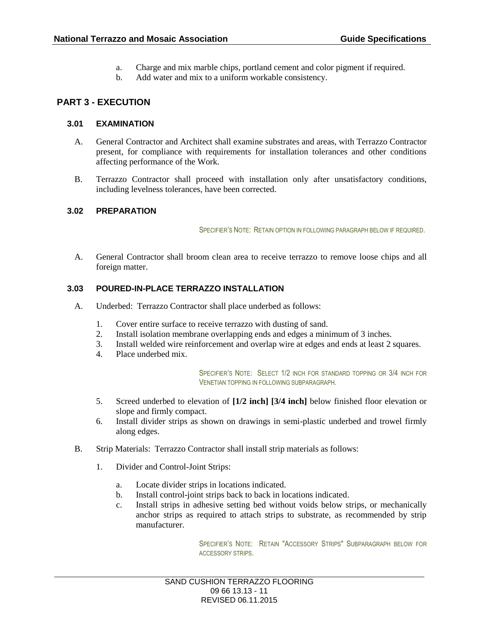- a. Charge and mix marble chips, portland cement and color pigment if required.
- b. Add water and mix to a uniform workable consistency.

## **PART 3 - EXECUTION**

## **3.01 EXAMINATION**

- A. General Contractor and Architect shall examine substrates and areas, with Terrazzo Contractor present, for compliance with requirements for installation tolerances and other conditions affecting performance of the Work.
- B. Terrazzo Contractor shall proceed with installation only after unsatisfactory conditions, including levelness tolerances, have been corrected.

#### **3.02 PREPARATION**

SPECIFIER'S NOTE: RETAIN OPTION IN FOLLOWING PARAGRAPH BELOW IF REQUIRED.

A. General Contractor shall broom clean area to receive terrazzo to remove loose chips and all foreign matter.

#### **3.03 POURED-IN-PLACE TERRAZZO INSTALLATION**

- A. Underbed: Terrazzo Contractor shall place underbed as follows:
	- 1. Cover entire surface to receive terrazzo with dusting of sand.
	- 2. Install isolation membrane overlapping ends and edges a minimum of 3 inches.
	- 3. Install welded wire reinforcement and overlap wire at edges and ends at least 2 squares.
	- 4. Place underbed mix.

SPECIFIER'S NOTE: SELECT 1/2 INCH FOR STANDARD TOPPING OR 3/4 INCH FOR VENETIAN TOPPING IN FOLLOWING SUBPARAGRAPH.

- 5. Screed underbed to elevation of **[1/2 inch] [3/4 inch]** below finished floor elevation or slope and firmly compact.
- 6. Install divider strips as shown on drawings in semi-plastic underbed and trowel firmly along edges.
- B. Strip Materials: Terrazzo Contractor shall install strip materials as follows:
	- 1. Divider and Control-Joint Strips:
		- a. Locate divider strips in locations indicated.
		- b. Install control-joint strips back to back in locations indicated.
		- c. Install strips in adhesive setting bed without voids below strips, or mechanically anchor strips as required to attach strips to substrate, as recommended by strip manufacturer.

SPECIFIER'S NOTE: RETAIN "ACCESSORY STRIPS" SUBPARAGRAPH BELOW FOR ACCESSORY STRIPS.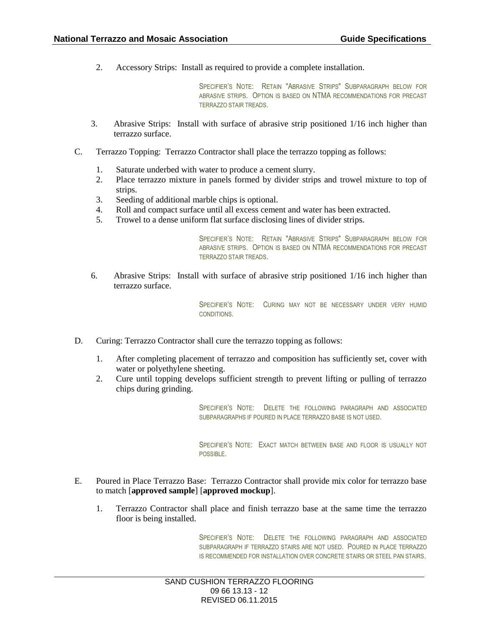2. Accessory Strips: Install as required to provide a complete installation.

SPECIFIER'S NOTE: RETAIN "ABRASIVE STRIPS" SUBPARAGRAPH BELOW FOR ABRASIVE STRIPS. OPTION IS BASED ON NTMA RECOMMENDATIONS FOR PRECAST TERRAZZO STAIR TREADS.

- 3. Abrasive Strips: Install with surface of abrasive strip positioned 1/16 inch higher than terrazzo surface.
- C. Terrazzo Topping: Terrazzo Contractor shall place the terrazzo topping as follows:
	- 1. Saturate underbed with water to produce a cement slurry.
	- 2. Place terrazzo mixture in panels formed by divider strips and trowel mixture to top of strips.
	- 3. Seeding of additional marble chips is optional.
	- 4. Roll and compact surface until all excess cement and water has been extracted.
	- 5. Trowel to a dense uniform flat surface disclosing lines of divider strips.

SPECIFIER'S NOTE: RETAIN "ABRASIVE STRIPS" SUBPARAGRAPH BELOW FOR ABRASIVE STRIPS. OPTION IS BASED ON NTMA RECOMMENDATIONS FOR PRECAST TERRAZZO STAIR TREADS.

6. Abrasive Strips: Install with surface of abrasive strip positioned 1/16 inch higher than terrazzo surface.

> SPECIFIER'S NOTE: CURING MAY NOT BE NECESSARY UNDER VERY HUMID **CONDITIONS**

- D. Curing: Terrazzo Contractor shall cure the terrazzo topping as follows:
	- 1. After completing placement of terrazzo and composition has sufficiently set, cover with water or polyethylene sheeting.
	- 2. Cure until topping develops sufficient strength to prevent lifting or pulling of terrazzo chips during grinding.

SPECIFIER'S NOTE: DELETE THE FOLLOWING PARAGRAPH AND ASSOCIATED SUBPARAGRAPHS IF POURED IN PLACE TERRAZZO BASE IS NOT USED.

SPECIFIER'S NOTE: EXACT MATCH BETWEEN BASE AND FLOOR IS USUALLY NOT POSSIBLE.

- E. Poured in Place Terrazzo Base: Terrazzo Contractor shall provide mix color for terrazzo base to match [**approved sample**] [**approved mockup**].
	- 1. Terrazzo Contractor shall place and finish terrazzo base at the same time the terrazzo floor is being installed.

SPECIFIER'S NOTE: DELETE THE FOLLOWING PARAGRAPH AND ASSOCIATED SUBPARAGRAPH IF TERRAZZO STAIRS ARE NOT USED. POURED IN PLACE TERRAZZO IS RECOMMENDED FOR INSTALLATION OVER CONCRETE STAIRS OR STEEL PAN STAIRS.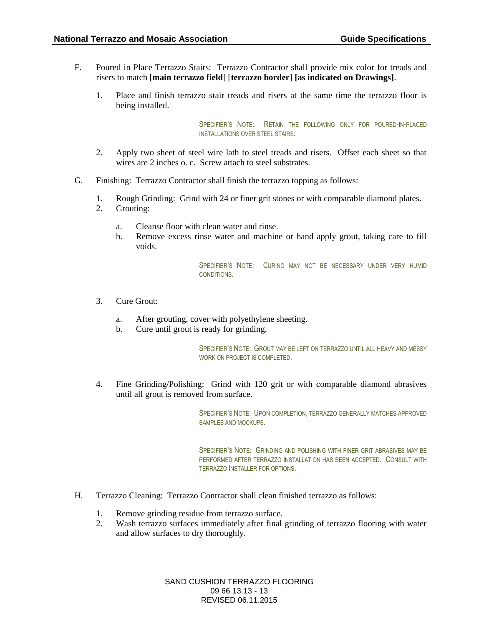- F. Poured in Place Terrazzo Stairs: Terrazzo Contractor shall provide mix color for treads and risers to match [**main terrazzo field**] [**terrazzo border**] **[as indicated on Drawings]**.
	- 1. Place and finish terrazzo stair treads and risers at the same time the terrazzo floor is being installed.

SPECIFIER'S NOTE: RETAIN THE FOLLOWING ONLY FOR POURED-IN-PLACED INSTALLATIONS OVER STEEL STAIRS.

- 2. Apply two sheet of steel wire lath to steel treads and risers. Offset each sheet so that wires are 2 inches o. c. Screw attach to steel substrates.
- G. Finishing: Terrazzo Contractor shall finish the terrazzo topping as follows:
	- 1. Rough Grinding: Grind with 24 or finer grit stones or with comparable diamond plates.
	- 2. Grouting:
		- a. Cleanse floor with clean water and rinse.
		- b. Remove excess rinse water and machine or hand apply grout, taking care to fill voids.

SPECIFIER'S NOTE: CURING MAY NOT BE NECESSARY UNDER VERY HUMID **CONDITIONS** 

- 3. Cure Grout:
	- a. After grouting, cover with polyethylene sheeting.
	- b. Cure until grout is ready for grinding.

SPECIFIER'S NOTE: GROUT MAY BE LEFT ON TERRAZZO UNTIL ALL HEAVY AND MESSY WORK ON PROJECT IS COMPLETED.

4. Fine Grinding/Polishing: Grind with 120 grit or with comparable diamond abrasives until all grout is removed from surface.

> SPECIFIER'S NOTE: UPON COMPLETION, TERRAZZO GENERALLY MATCHES APPROVED SAMPLES AND MOCKUPS.

> SPECIFIER'S NOTE: GRINDING AND POLISHING WITH FINER GRIT ABRASIVES MAY BE PERFORMED AFTER TERRAZZO INSTALLATION HAS BEEN ACCEPTED. CONSULT WITH TERRAZZO INSTALLER FOR OPTIONS.

- H. Terrazzo Cleaning: Terrazzo Contractor shall clean finished terrazzo as follows:
	- 1. Remove grinding residue from terrazzo surface.
	- 2. Wash terrazzo surfaces immediately after final grinding of terrazzo flooring with water and allow surfaces to dry thoroughly.